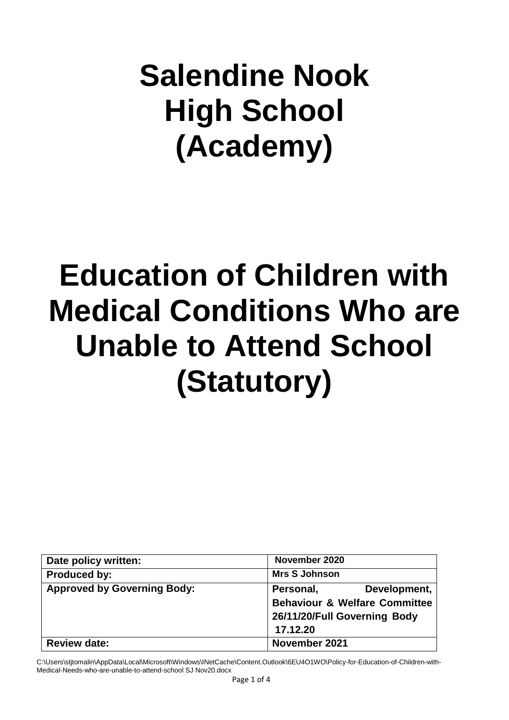## **Salendine Nook High School (Academy)**

# **Education of Children with Medical Conditions Who are Unable to Attend School (Statutory)**

| Date policy written:               | November 2020                            |
|------------------------------------|------------------------------------------|
| <b>Produced by:</b>                | <b>Mrs S Johnson</b>                     |
| <b>Approved by Governing Body:</b> | Personal,<br>Development,                |
|                                    | <b>Behaviour &amp; Welfare Committee</b> |
|                                    | 26/11/20/Full Governing Body             |
|                                    | 17.12.20                                 |
| <b>Review date:</b>                | November 2021                            |

C:\Users\stjtomalin\AppData\Local\Microsoft\Windows\INetCache\Content.Outlook\6EU4O1WO\Policy-for-Education-of-Children-with-Medical-Needs-who-are-unable-to-attend-school SJ Nov20.docx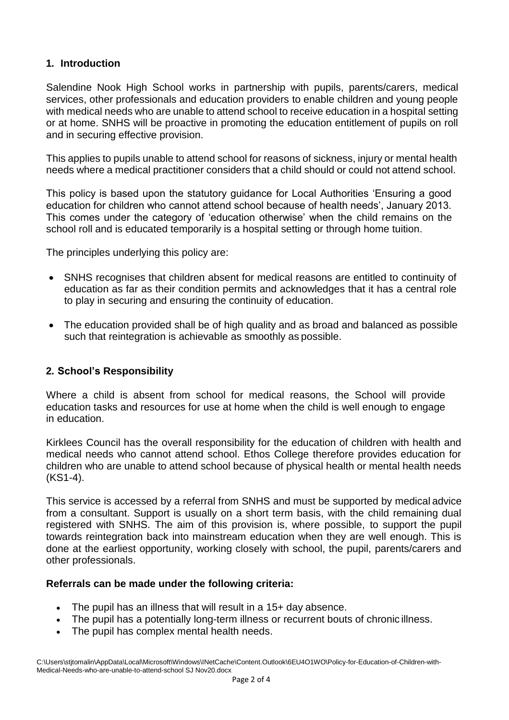## **1. Introduction**

Salendine Nook High School works in partnership with pupils, parents/carers, medical services, other professionals and education providers to enable children and young people with medical needs who are unable to attend school to receive education in a hospital setting or at home. SNHS will be proactive in promoting the education entitlement of pupils on roll and in securing effective provision.

This applies to pupils unable to attend school for reasons of sickness, injury or mental health needs where a medical practitioner considers that a child should or could not attend school.

This policy is based upon the statutory guidance for Local Authorities 'Ensuring a good education for children who cannot attend school because of health needs', January 2013. This comes under the category of 'education otherwise' when the child remains on the school roll and is educated temporarily is a hospital setting or through home tuition.

The principles underlying this policy are:

- SNHS recognises that children absent for medical reasons are entitled to continuity of education as far as their condition permits and acknowledges that it has a central role to play in securing and ensuring the continuity of education.
- The education provided shall be of high quality and as broad and balanced as possible such that reintegration is achievable as smoothly as possible.

#### **2. School's Responsibility**

Where a child is absent from school for medical reasons, the School will provide education tasks and resources for use at home when the child is well enough to engage in education.

Kirklees Council has the overall responsibility for the education of children with health and medical needs who cannot attend school. Ethos College therefore provides education for children who are unable to attend school because of physical health or mental health needs (KS1-4).

This service is accessed by a referral from SNHS and must be supported by medical advice from a consultant. Support is usually on a short term basis, with the child remaining dual registered with SNHS. The aim of this provision is, where possible, to support the pupil towards reintegration back into mainstream education when they are well enough. This is done at the earliest opportunity, working closely with school, the pupil, parents/carers and other professionals.

#### **Referrals can be made under the following criteria:**

- The pupil has an illness that will result in a 15+ day absence.
- The pupil has a potentially long-term illness or recurrent bouts of chronic illness.
- The pupil has complex mental health needs.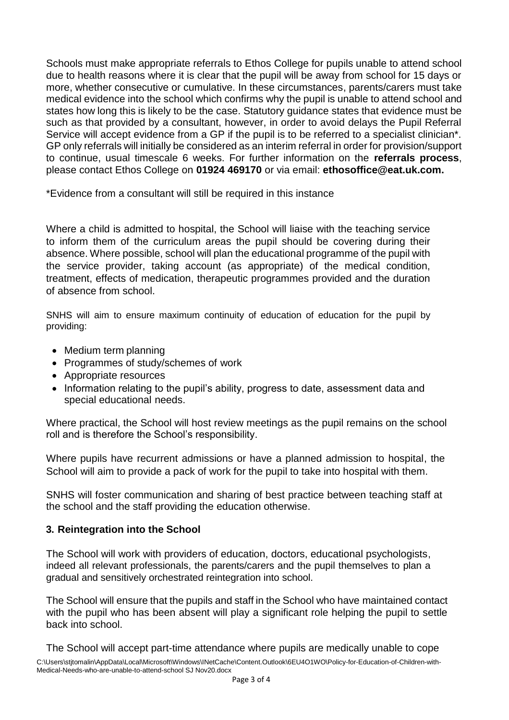Schools must make appropriate referrals to Ethos College for pupils unable to attend school due to health reasons where it is clear that the pupil will be away from school for 15 days or more, whether consecutive or cumulative. In these circumstances, parents/carers must take medical evidence into the school which confirms why the pupil is unable to attend school and states how long this is likely to be the case. Statutory guidance states that evidence must be such as that provided by a consultant, however, in order to avoid delays the Pupil Referral Service will accept evidence from a GP if the pupil is to be referred to a specialist clinician\*. GP only referrals will initially be considered as an interim referral in order for provision/support to continue, usual timescale 6 weeks. For further information on the **referrals process**, please contact Ethos College on **01924 469170** or via email: **[ethosoffice@eat.uk.com.](mailto:ethosoffice@eat.uk.com)**

\*Evidence from a consultant will still be required in this instance

Where a child is admitted to hospital, the School will liaise with the teaching service to inform them of the curriculum areas the pupil should be covering during their absence. Where possible, school will plan the educational programme of the pupil with the service provider, taking account (as appropriate) of the medical condition, treatment, effects of medication, therapeutic programmes provided and the duration of absence from school.

SNHS will aim to ensure maximum continuity of education of education for the pupil by providing:

- Medium term planning
- Programmes of study/schemes of work
- Appropriate resources
- Information relating to the pupil's ability, progress to date, assessment data and special educational needs.

Where practical, the School will host review meetings as the pupil remains on the school roll and is therefore the School's responsibility.

Where pupils have recurrent admissions or have a planned admission to hospital, the School will aim to provide a pack of work for the pupil to take into hospital with them.

SNHS will foster communication and sharing of best practice between teaching staff at the school and the staff providing the education otherwise.

## **3. Reintegration into the School**

The School will work with providers of education, doctors, educational psychologists, indeed all relevant professionals, the parents/carers and the pupil themselves to plan a gradual and sensitively orchestrated reintegration into school.

The School will ensure that the pupils and staff in the School who have maintained contact with the pupil who has been absent will play a significant role helping the pupil to settle back into school.

C:\Users\stjtomalin\AppData\Local\Microsoft\Windows\INetCache\Content.Outlook\6EU4O1WO\Policy-for-Education-of-Children-with-Medical-Needs-who-are-unable-to-attend-school SJ Nov20.docx The School will accept part-time attendance where pupils are medically unable to cope